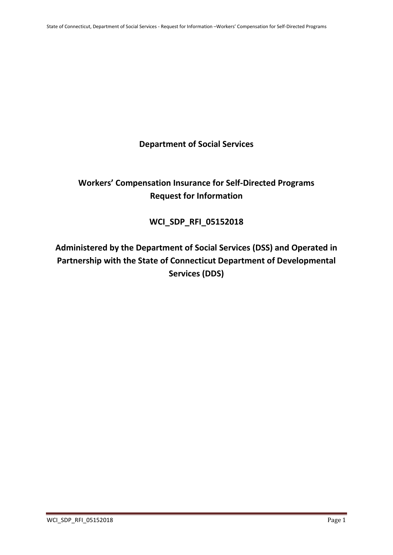## **Department of Social Services**

# **Workers' Compensation Insurance for Self-Directed Programs Request for Information**

# **WCI\_SDP\_RFI\_05152018**

# **Administered by the Department of Social Services (DSS) and Operated in Partnership with the State of Connecticut Department of Developmental Services (DDS)**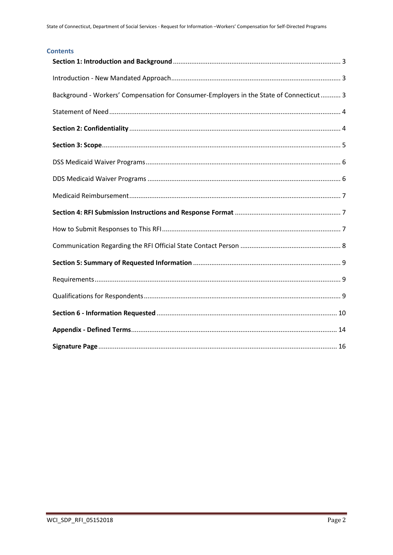#### **Contents**

| Background - Workers' Compensation for Consumer-Employers in the State of Connecticut 3 |
|-----------------------------------------------------------------------------------------|
|                                                                                         |
|                                                                                         |
|                                                                                         |
|                                                                                         |
|                                                                                         |
|                                                                                         |
|                                                                                         |
|                                                                                         |
|                                                                                         |
|                                                                                         |
|                                                                                         |
|                                                                                         |
|                                                                                         |
|                                                                                         |
|                                                                                         |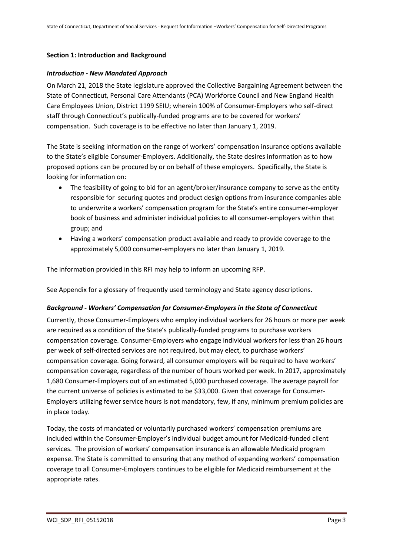#### <span id="page-2-0"></span>**Section 1: Introduction and Background**

#### <span id="page-2-1"></span>*Introduction - New Mandated Approach*

On March 21, 2018 the State legislature approved the Collective Bargaining Agreement between the State of Connecticut, Personal Care Attendants (PCA) Workforce Council and New England Health Care Employees Union, District 1199 SEIU; wherein 100% of Consumer-Employers who self-direct staff through Connecticut's publically-funded programs are to be covered for workers' compensation. Such coverage is to be effective no later than January 1, 2019.

The State is seeking information on the range of workers' compensation insurance options available to the State's eligible Consumer-Employers. Additionally, the State desires information as to how proposed options can be procured by or on behalf of these employers. Specifically, the State is looking for information on:

- The feasibility of going to bid for an agent/broker/insurance company to serve as the entity responsible for securing quotes and product design options from insurance companies able to underwrite a workers' compensation program for the State's entire consumer-employer book of business and administer individual policies to all consumer-employers within that group; and
- Having a workers' compensation product available and ready to provide coverage to the approximately 5,000 consumer-employers no later than January 1, 2019.

The information provided in this RFI may help to inform an upcoming RFP.

See Appendix for a glossary of frequently used terminology and State agency descriptions.

#### <span id="page-2-2"></span>*Background - Workers' Compensation for Consumer-Employers in the State of Connecticut*

Currently, those Consumer-Employers who employ individual workers for 26 hours or more per week are required as a condition of the State's publically-funded programs to purchase workers compensation coverage. Consumer-Employers who engage individual workers for less than 26 hours per week of self-directed services are not required, but may elect, to purchase workers' compensation coverage. Going forward, all consumer employers will be required to have workers' compensation coverage, regardless of the number of hours worked per week. In 2017, approximately 1,680 Consumer-Employers out of an estimated 5,000 purchased coverage. The average payroll for the current universe of policies is estimated to be \$33,000. Given that coverage for Consumer-Employers utilizing fewer service hours is not mandatory, few, if any, minimum premium policies are in place today.

Today, the costs of mandated or voluntarily purchased workers' compensation premiums are included within the Consumer-Employer's individual budget amount for Medicaid-funded client services. The provision of workers' compensation insurance is an allowable Medicaid program expense. The State is committed to ensuring that any method of expanding workers' compensation coverage to all Consumer-Employers continues to be eligible for Medicaid reimbursement at the appropriate rates.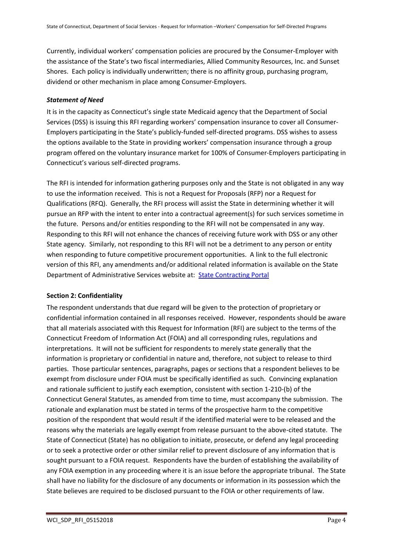Currently, individual workers' compensation policies are procured by the Consumer-Employer with the assistance of the State's two fiscal intermediaries, Allied Community Resources, Inc. and Sunset Shores. Each policy is individually underwritten; there is no affinity group, purchasing program, dividend or other mechanism in place among Consumer-Employers.

#### <span id="page-3-0"></span>*Statement of Need*

It is in the capacity as Connecticut's single state Medicaid agency that the Department of Social Services (DSS) is issuing this RFI regarding workers' compensation insurance to cover all Consumer-Employers participating in the State's publicly-funded self-directed programs. DSS wishes to assess the options available to the State in providing workers' compensation insurance through a group program offered on the voluntary insurance market for 100% of Consumer-Employers participating in Connecticut's various self-directed programs.

The RFI is intended for information gathering purposes only and the State is not obligated in any way to use the information received. This is not a Request for Proposals (RFP) nor a Request for Qualifications (RFQ). Generally, the RFI process will assist the State in determining whether it will pursue an RFP with the intent to enter into a contractual agreement(s) for such services sometime in the future. Persons and/or entities responding to the RFI will not be compensated in any way. Responding to this RFI will not enhance the chances of receiving future work with DSS or any other State agency. Similarly, not responding to this RFI will not be a detriment to any person or entity when responding to future competitive procurement opportunities. A link to the full electronic version of this RFI, any amendments and/or additional related information is available on the State Department of Administrative Services website at: [State Contracting Portal](https://biznet.ct.gov/SCP_Search/)

#### <span id="page-3-1"></span>**Section 2: Confidentiality**

The respondent understands that due regard will be given to the protection of proprietary or confidential information contained in all responses received. However, respondents should be aware that all materials associated with this Request for Information (RFI) are subject to the terms of the Connecticut Freedom of Information Act (FOIA) and all corresponding rules, regulations and interpretations. It will not be sufficient for respondents to merely state generally that the information is proprietary or confidential in nature and, therefore, not subject to release to third parties. Those particular sentences, paragraphs, pages or sections that a respondent believes to be exempt from disclosure under FOIA must be specifically identified as such. Convincing explanation and rationale sufficient to justify each exemption, consistent with section 1-210-(b) of the Connecticut General Statutes, as amended from time to time, must accompany the submission. The rationale and explanation must be stated in terms of the prospective harm to the competitive position of the respondent that would result if the identified material were to be released and the reasons why the materials are legally exempt from release pursuant to the above-cited statute. The State of Connecticut (State) has no obligation to initiate, prosecute, or defend any legal proceeding or to seek a protective order or other similar relief to prevent disclosure of any information that is sought pursuant to a FOIA request. Respondents have the burden of establishing the availability of any FOIA exemption in any proceeding where it is an issue before the appropriate tribunal. The State shall have no liability for the disclosure of any documents or information in its possession which the State believes are required to be disclosed pursuant to the FOIA or other requirements of law.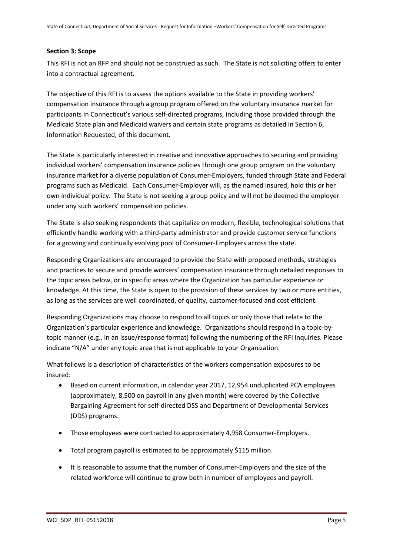#### <span id="page-4-0"></span>**Section 3: Scope**

This RFI is not an RFP and should not be construed as such. The State is not soliciting offers to enter into a contractual agreement.

The objective of this RFI is to assess the options available to the State in providing workers' compensation insurance through a group program offered on the voluntary insurance market for participants in Connecticut's various self-directed programs, including those provided through the Medicaid State plan and Medicaid waivers and certain state programs as detailed in Section 6, Information Requested, of this document.

The State is particularly interested in creative and innovative approaches to securing and providing individual workers' compensation insurance policies through one group program on the voluntary insurance market for a diverse population of Consumer-Employers, funded through State and Federal programs such as Medicaid. Each Consumer-Employer will, as the named insured, hold this or her own individual policy. The State is not seeking a group policy and will not be deemed the employer under any such workers' compensation policies.

The State is also seeking respondents that capitalize on modern, flexible, technological solutions that efficiently handle working with a third-party administrator and provide customer service functions for a growing and continually evolving pool of Consumer-Employers across the state.

Responding Organizations are encouraged to provide the State with proposed methods, strategies and practices to secure and provide workers' compensation insurance through detailed responses to the topic areas below, or in specific areas where the Organization has particular experience or knowledge. At this time, the State is open to the provision of these services by two or more entities, as long as the services are well coordinated, of quality, customer-focused and cost efficient.

Responding Organizations may choose to respond to all topics or only those that relate to the Organization's particular experience and knowledge. Organizations should respond in a topic-bytopic manner (e.g., in an issue/response format) following the numbering of the RFI inquiries. Please indicate "N/A" under any topic area that is not applicable to your Organization.

What follows is a description of characteristics of the workers compensation exposures to be insured:

- Based on current information, in calendar year 2017, 12,954 unduplicated PCA employees (approximately, 8,500 on payroll in any given month) were covered by the Collective Bargaining Agreement for self-directed DSS and Department of Developmental Services (DDS) programs.
- Those employees were contracted to approximately 4,958 Consumer-Employers.
- Total program payroll is estimated to be approximately \$115 million.
- It is reasonable to assume that the number of Consumer-Employers and the size of the related workforce will continue to grow both in number of employees and payroll.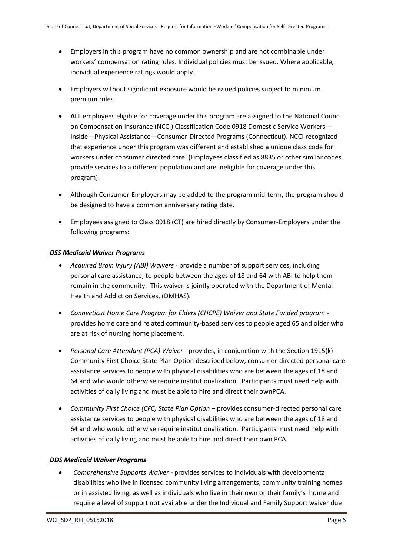- Employers in this program have no common ownership and are not combinable under workers' compensation rating rules. Individual policies must be issued. Where applicable, individual experience ratings would apply.
- Employers without significant exposure would be issued policies subject to minimum premium rules.
- **ALL** employees eligible for coverage under this program are assigned to the National Council on Compensation Insurance (NCCI) Classification Code 0918 Domestic Service Workers— Inside—Physical Assistance—Consumer-Directed Programs (Connecticut). NCCI recognized that experience under this program was different and established a unique class code for workers under consumer directed care. (Employees classified as 8835 or other similar codes provide services to a different population and are ineligible for coverage under this program).
- Although Consumer-Employers may be added to the program mid-term, the program should be designed to have a common anniversary rating date.
- Employees assigned to Class 0918 (CT) are hired directly by Consumer-Employers under the following programs:

#### <span id="page-5-0"></span>*DSS Medicaid Waiver Programs*

- *Acquired Brain Injury (ABI) Waivers* provide a number of support services, including personal care assistance, to people between the ages of 18 and 64 with ABI to help them remain in the community. This waiver is jointly operated with the Department of Mental Health and Addiction Services, (DMHAS).
- *Connecticut Home Care Program for Elders (CHCPE) Waiver and State Funded program* provides home care and related community-based services to people aged 65 and older who are at risk of nursing home placement.
- *Personal Care Attendant (PCA) Waiver* provides, in conjunction with the Section 1915(k) Community First Choice State Plan Option described below, consumer-directed personal care assistance services to people with physical disabilities who are between the ages of 18 and 64 and who would otherwise require institutionalization. Participants must need help with activities of daily living and must be able to hire and direct their ownPCA.
- *Community First Choice (CFC) State Plan Option* provides consumer-directed personal care assistance services to people with physical disabilities who are between the ages of 18 and 64 and who would otherwise require institutionalization. Participants must need help with activities of daily living and must be able to hire and direct their own PCA.

### <span id="page-5-1"></span>*DDS Medicaid Waiver Programs*

 *Comprehensive Supports Waiver -* provides services to individuals with developmental disabilities who live in licensed community living arrangements, community training homes or in assisted living, as well as individuals who live in their own or their family's home and require a level of support not available under the Individual and Family Support waiver due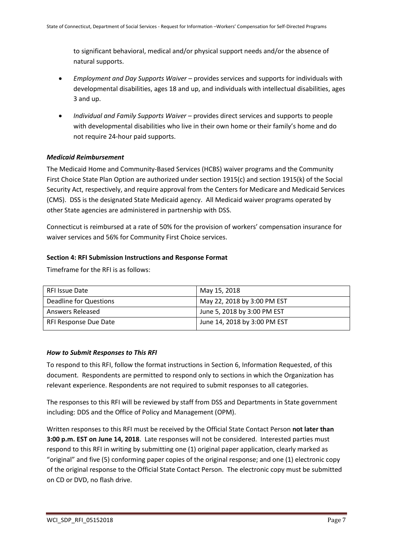to significant behavioral, medical and/or physical support needs and/or the absence of natural supports.

- *Employment and Day Supports Waiver* provides services and supports for individuals with developmental disabilities, ages 18 and up, and individuals with intellectual disabilities, ages 3 and up.
- *Individual and Family Supports Waiver* provides direct services and supports to people with developmental disabilities who live in their own home or their family's home and do not require 24-hour paid supports.

#### <span id="page-6-0"></span>*Medicaid Reimbursement*

The Medicaid Home and Community-Based Services (HCBS) waiver programs and the Community First Choice State Plan Option are authorized under section 1915(c) and section 1915(k) of the Social Security Act, respectively, and require approval from the Centers for Medicare and Medicaid Services (CMS). DSS is the designated State Medicaid agency. All Medicaid waiver programs operated by other State agencies are administered in partnership with DSS.

Connecticut is reimbursed at a rate of 50% for the provision of workers' compensation insurance for waiver services and 56% for Community First Choice services.

#### <span id="page-6-1"></span>**Section 4: RFI Submission Instructions and Response Format**

Timeframe for the RFI is as follows:

| RFI Issue Date         | May 15, 2018                 |
|------------------------|------------------------------|
| Deadline for Questions | May 22, 2018 by 3:00 PM EST  |
| Answers Released       | June 5, 2018 by 3:00 PM EST  |
| RFI Response Due Date  | June 14, 2018 by 3:00 PM EST |

#### <span id="page-6-2"></span>*How to Submit Responses to This RFI*

To respond to this RFI, follow the format instructions in Section 6, Information Requested, of this document. Respondents are permitted to respond only to sections in which the Organization has relevant experience. Respondents are not required to submit responses to all categories.

The responses to this RFI will be reviewed by staff from DSS and Departments in State government including: DDS and the Office of Policy and Management (OPM).

Written responses to this RFI must be received by the Official State Contact Person **not later than 3:00 p.m. EST on June 14, 2018**. Late responses will not be considered. Interested parties must respond to this RFI in writing by submitting one (1) original paper application, clearly marked as "original" and five (5) conforming paper copies of the original response; and one (1) electronic copy of the original response to the Official State Contact Person. The electronic copy must be submitted on CD or DVD, no flash drive.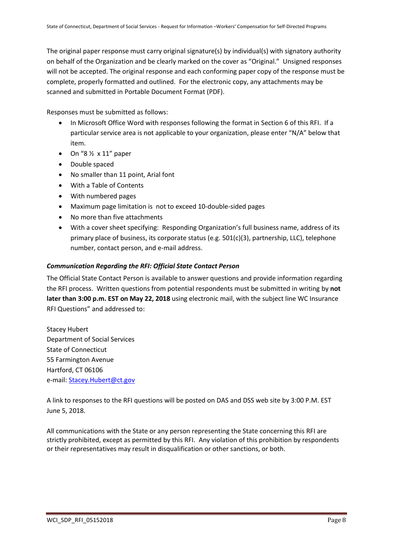The original paper response must carry original signature(s) by individual(s) with signatory authority on behalf of the Organization and be clearly marked on the cover as "Original." Unsigned responses will not be accepted. The original response and each conforming paper copy of the response must be complete, properly formatted and outlined. For the electronic copy, any attachments may be scanned and submitted in Portable Document Format (PDF).

Responses must be submitted as follows:

- In Microsoft Office Word with responses following the format in Section 6 of this RFI. If a particular service area is not applicable to your organization, please enter "N/A" below that item.
- $\bullet$  On "8  $\frac{1}{2}$  x 11" paper
- Double spaced
- No smaller than 11 point, Arial font
- With a Table of Contents
- With numbered pages
- Maximum page limitation is not to exceed 10-double-sided pages
- No more than five attachments
- With a cover sheet specifying: Responding Organization's full business name, address of its primary place of business, its corporate status (e.g. 501(c)(3), partnership, LLC), telephone number, contact person, and e-mail address.

#### <span id="page-7-0"></span>*Communication Regarding the RFI: Official State Contact Person*

The Official State Contact Person is available to answer questions and provide information regarding the RFI process. Written questions from potential respondents must be submitted in writing by **not later than 3:00 p.m. EST on May 22, 2018** using electronic mail, with the subject line WC Insurance RFI Questions" and addressed to:

Stacey Hubert Department of Social Services State of Connecticut 55 Farmington Avenue Hartford, CT 06106 e-mail: Stacey.Hubert@ct.gov

A link to responses to the RFI questions will be posted on DAS and DSS web site by 3:00 P.M. EST June 5, 2018.

All communications with the State or any person representing the State concerning this RFI are strictly prohibited, except as permitted by this RFI. Any violation of this prohibition by respondents or their representatives may result in disqualification or other sanctions, or both.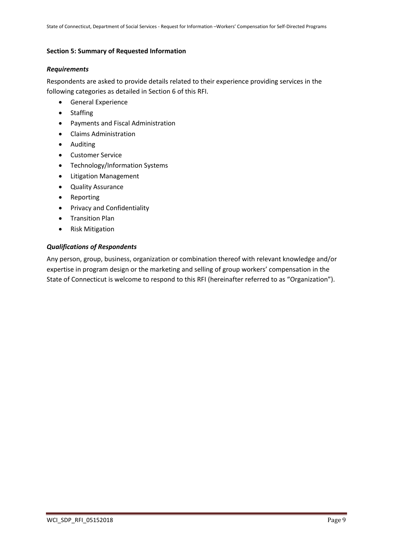#### <span id="page-8-0"></span>**Section 5: Summary of Requested Information**

#### <span id="page-8-1"></span>*Requirements*

Respondents are asked to provide details related to their experience providing services in the following categories as detailed in Section 6 of this RFI.

- **•** General Experience
- Staffing
- Payments and Fiscal Administration
- Claims Administration
- Auditing
- Customer Service
- Technology/Information Systems
- Litigation Management
- Quality Assurance
- Reporting
- **•** Privacy and Confidentiality
- **•** Transition Plan
- Risk Mitigation

#### <span id="page-8-2"></span>*Qualifications of Respondents*

Any person, group, business, organization or combination thereof with relevant knowledge and/or expertise in program design or the marketing and selling of group workers' compensation in the State of Connecticut is welcome to respond to this RFI (hereinafter referred to as "Organization").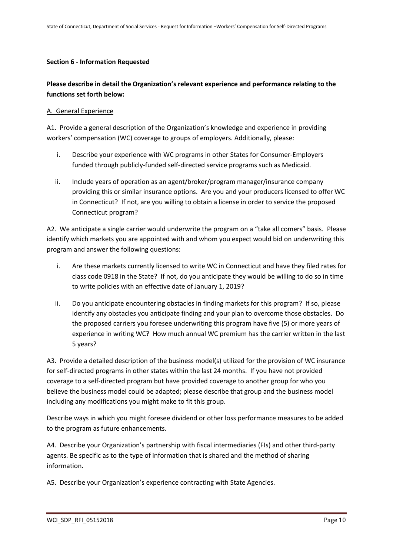#### <span id="page-9-0"></span>**Section 6 - Information Requested**

## **Please describe in detail the Organization's relevant experience and performance relating to the functions set forth below:**

#### A. General Experience

A1. Provide a general description of the Organization's knowledge and experience in providing workers' compensation (WC) coverage to groups of employers. Additionally, please:

- i. Describe your experience with WC programs in other States for Consumer-Employers funded through publicly-funded self-directed service programs such as Medicaid.
- ii. Include years of operation as an agent/broker/program manager/insurance company providing this or similar insurance options. Are you and your producers licensed to offer WC in Connecticut? If not, are you willing to obtain a license in order to service the proposed Connecticut program?

A2. We anticipate a single carrier would underwrite the program on a "take all comers" basis. Please identify which markets you are appointed with and whom you expect would bid on underwriting this program and answer the following questions:

- i. Are these markets currently licensed to write WC in Connecticut and have they filed rates for class code 0918 in the State? If not, do you anticipate they would be willing to do so in time to write policies with an effective date of January 1, 2019?
- ii. Do you anticipate encountering obstacles in finding markets for this program? If so, please identify any obstacles you anticipate finding and your plan to overcome those obstacles. Do the proposed carriers you foresee underwriting this program have five (5) or more years of experience in writing WC? How much annual WC premium has the carrier written in the last 5 years?

A3. Provide a detailed description of the business model(s) utilized for the provision of WC insurance for self-directed programs in other states within the last 24 months. If you have not provided coverage to a self-directed program but have provided coverage to another group for who you believe the business model could be adapted; please describe that group and the business model including any modifications you might make to fit this group.

Describe ways in which you might foresee dividend or other loss performance measures to be added to the program as future enhancements.

A4. Describe your Organization's partnership with fiscal intermediaries (FIs) and other third-party agents. Be specific as to the type of information that is shared and the method of sharing information.

A5. Describe your Organization's experience contracting with State Agencies.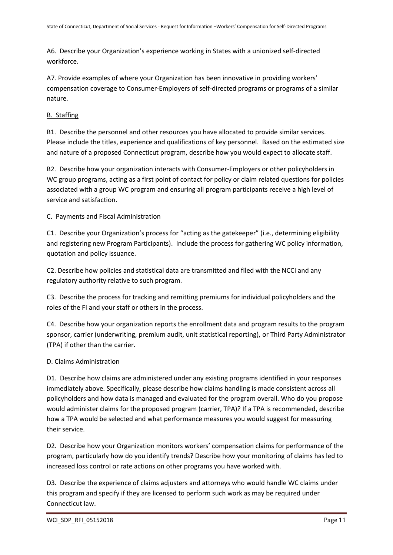A6. Describe your Organization's experience working in States with a unionized self-directed workforce.

A7. Provide examples of where your Organization has been innovative in providing workers' compensation coverage to Consumer-Employers of self-directed programs or programs of a similar nature.

## B. Staffing

B1. Describe the personnel and other resources you have allocated to provide similar services. Please include the titles, experience and qualifications of key personnel. Based on the estimated size and nature of a proposed Connecticut program, describe how you would expect to allocate staff.

B2. Describe how your organization interacts with Consumer-Employers or other policyholders in WC group programs, acting as a first point of contact for policy or claim related questions for policies associated with a group WC program and ensuring all program participants receive a high level of service and satisfaction.

## C. Payments and Fiscal Administration

C1. Describe your Organization's process for "acting as the gatekeeper" (i.e., determining eligibility and registering new Program Participants). Include the process for gathering WC policy information, quotation and policy issuance.

C2. Describe how policies and statistical data are transmitted and filed with the NCCI and any regulatory authority relative to such program.

C3. Describe the process for tracking and remitting premiums for individual policyholders and the roles of the FI and your staff or others in the process.

C4. Describe how your organization reports the enrollment data and program results to the program sponsor, carrier (underwriting, premium audit, unit statistical reporting), or Third Party Administrator (TPA) if other than the carrier.

### D. Claims Administration

D1. Describe how claims are administered under any existing programs identified in your responses immediately above. Specifically, please describe how claims handling is made consistent across all policyholders and how data is managed and evaluated for the program overall. Who do you propose would administer claims for the proposed program (carrier, TPA)? If a TPA is recommended, describe how a TPA would be selected and what performance measures you would suggest for measuring their service.

D2. Describe how your Organization monitors workers' compensation claims for performance of the program, particularly how do you identify trends? Describe how your monitoring of claims has led to increased loss control or rate actions on other programs you have worked with.

D3. Describe the experience of claims adjusters and attorneys who would handle WC claims under this program and specify if they are licensed to perform such work as may be required under Connecticut law.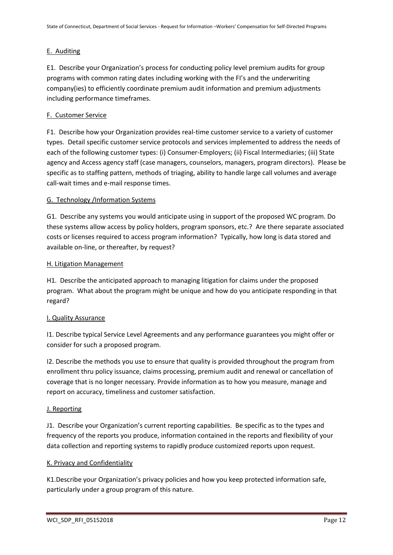#### E. Auditing

E1. Describe your Organization's process for conducting policy level premium audits for group programs with common rating dates including working with the FI's and the underwriting company(ies) to efficiently coordinate premium audit information and premium adjustments including performance timeframes.

#### F. Customer Service

F1. Describe how your Organization provides real-time customer service to a variety of customer types. Detail specific customer service protocols and services implemented to address the needs of each of the following customer types: (i) Consumer-Employers; (ii) Fiscal Intermediaries; (iii) State agency and Access agency staff (case managers, counselors, managers, program directors). Please be specific as to staffing pattern, methods of triaging, ability to handle large call volumes and average call-wait times and e-mail response times.

#### G. Technology /Information Systems

G1. Describe any systems you would anticipate using in support of the proposed WC program. Do these systems allow access by policy holders, program sponsors, etc.? Are there separate associated costs or licenses required to access program information? Typically, how long is data stored and available on-line, or thereafter, by request?

#### H. Litigation Management

H1. Describe the anticipated approach to managing litigation for claims under the proposed program. What about the program might be unique and how do you anticipate responding in that regard?

#### I. Quality Assurance

I1. Describe typical Service Level Agreements and any performance guarantees you might offer or consider for such a proposed program.

I2. Describe the methods you use to ensure that quality is provided throughout the program from enrollment thru policy issuance, claims processing, premium audit and renewal or cancellation of coverage that is no longer necessary. Provide information as to how you measure, manage and report on accuracy, timeliness and customer satisfaction.

#### J. Reporting

J1. Describe your Organization's current reporting capabilities. Be specific as to the types and frequency of the reports you produce, information contained in the reports and flexibility of your data collection and reporting systems to rapidly produce customized reports upon request.

#### K. Privacy and Confidentiality

K1.Describe your Organization's privacy policies and how you keep protected information safe, particularly under a group program of this nature.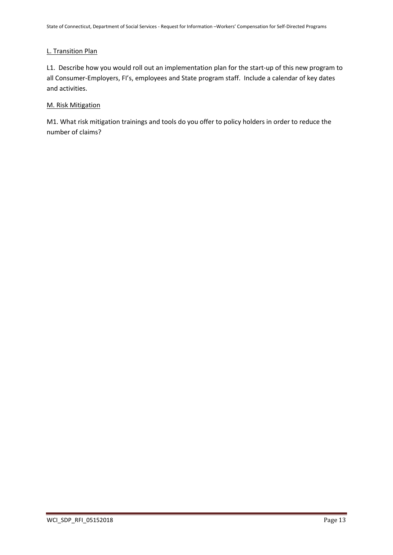#### L. Transition Plan

L1. Describe how you would roll out an implementation plan for the start-up of this new program to all Consumer-Employers, FI's, employees and State program staff. Include a calendar of key dates and activities.

#### M. Risk Mitigation

M1. What risk mitigation trainings and tools do you offer to policy holders in order to reduce the number of claims?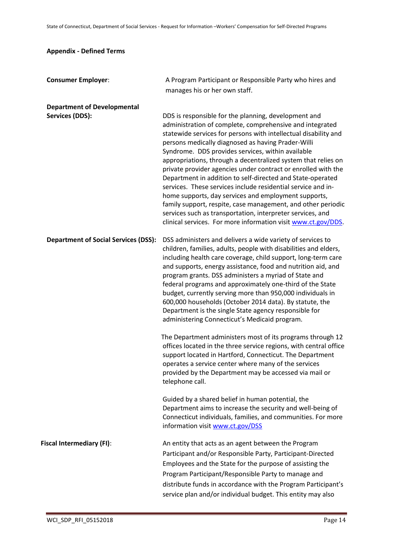## <span id="page-13-0"></span>**Appendix - Defined Terms**

| <b>Consumer Employer:</b>                   | A Program Participant or Responsible Party who hires and<br>manages his or her own staff.                                                                                                                                                                                                                                                                                                                                                                                                                                                                                                                                                                                                                                                                                                                             |
|---------------------------------------------|-----------------------------------------------------------------------------------------------------------------------------------------------------------------------------------------------------------------------------------------------------------------------------------------------------------------------------------------------------------------------------------------------------------------------------------------------------------------------------------------------------------------------------------------------------------------------------------------------------------------------------------------------------------------------------------------------------------------------------------------------------------------------------------------------------------------------|
| <b>Department of Developmental</b>          |                                                                                                                                                                                                                                                                                                                                                                                                                                                                                                                                                                                                                                                                                                                                                                                                                       |
| <b>Services (DDS):</b>                      | DDS is responsible for the planning, development and<br>administration of complete, comprehensive and integrated<br>statewide services for persons with intellectual disability and<br>persons medically diagnosed as having Prader-Willi<br>Syndrome. DDS provides services, within available<br>appropriations, through a decentralized system that relies on<br>private provider agencies under contract or enrolled with the<br>Department in addition to self-directed and State-operated<br>services. These services include residential service and in-<br>home supports, day services and employment supports,<br>family support, respite, case management, and other periodic<br>services such as transportation, interpreter services, and<br>clinical services. For more information visit www.ct.gov/DDS. |
| <b>Department of Social Services (DSS):</b> | DSS administers and delivers a wide variety of services to<br>children, families, adults, people with disabilities and elders,<br>including health care coverage, child support, long-term care<br>and supports, energy assistance, food and nutrition aid, and<br>program grants. DSS administers a myriad of State and<br>federal programs and approximately one-third of the State<br>budget, currently serving more than 950,000 individuals in<br>600,000 households (October 2014 data). By statute, the<br>Department is the single State agency responsible for<br>administering Connecticut's Medicaid program.                                                                                                                                                                                              |
|                                             | The Department administers most of its programs through 12<br>offices located in the three service regions, with central office<br>support located in Hartford, Connecticut. The Department<br>operates a service center where many of the services<br>provided by the Department may be accessed via mail or<br>telephone call.                                                                                                                                                                                                                                                                                                                                                                                                                                                                                      |
|                                             | Guided by a shared belief in human potential, the<br>Department aims to increase the security and well-being of<br>Connecticut individuals, families, and communities. For more<br>information visit www.ct.gov/DSS                                                                                                                                                                                                                                                                                                                                                                                                                                                                                                                                                                                                   |
| <b>Fiscal Intermediary (FI):</b>            | An entity that acts as an agent between the Program<br>Participant and/or Responsible Party, Participant-Directed<br>Employees and the State for the purpose of assisting the<br>Program Participant/Responsible Party to manage and<br>distribute funds in accordance with the Program Participant's<br>service plan and/or individual budget. This entity may also                                                                                                                                                                                                                                                                                                                                                                                                                                                  |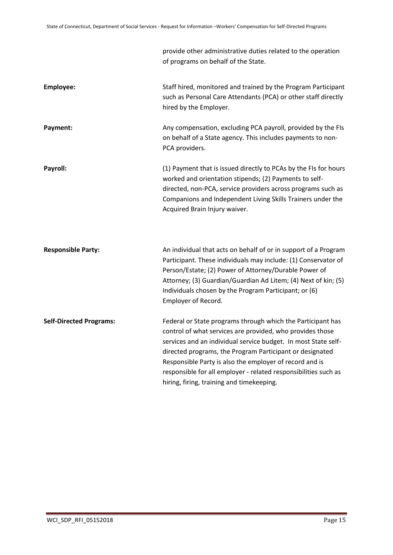|                                | provide other administrative duties related to the operation<br>of programs on behalf of the State.                                                                                                                                                                                                                                                                                                                               |
|--------------------------------|-----------------------------------------------------------------------------------------------------------------------------------------------------------------------------------------------------------------------------------------------------------------------------------------------------------------------------------------------------------------------------------------------------------------------------------|
| <b>Employee:</b>               | Staff hired, monitored and trained by the Program Participant<br>such as Personal Care Attendants (PCA) or other staff directly<br>hired by the Employer.                                                                                                                                                                                                                                                                         |
| Payment:                       | Any compensation, excluding PCA payroll, provided by the FIs<br>on behalf of a State agency. This includes payments to non-<br>PCA providers.                                                                                                                                                                                                                                                                                     |
| Payroll:                       | (1) Payment that is issued directly to PCAs by the FIs for hours<br>worked and orientation stipends; (2) Payments to self-<br>directed, non-PCA, service providers across programs such as<br>Companions and Independent Living Skills Trainers under the<br>Acquired Brain Injury waiver.                                                                                                                                        |
| <b>Responsible Party:</b>      | An individual that acts on behalf of or in support of a Program<br>Participant. These individuals may include: (1) Conservator of<br>Person/Estate; (2) Power of Attorney/Durable Power of<br>Attorney; (3) Guardian/Guardian Ad Litem; (4) Next of kin; (5)<br>Individuals chosen by the Program Participant; or (6)<br>Employer of Record.                                                                                      |
| <b>Self-Directed Programs:</b> | Federal or State programs through which the Participant has<br>control of what services are provided, who provides those<br>services and an individual service budget. In most State self-<br>directed programs, the Program Participant or designated<br>Responsible Party is also the employer of record and is<br>responsible for all employer - related responsibilities such as<br>hiring, firing, training and timekeeping. |